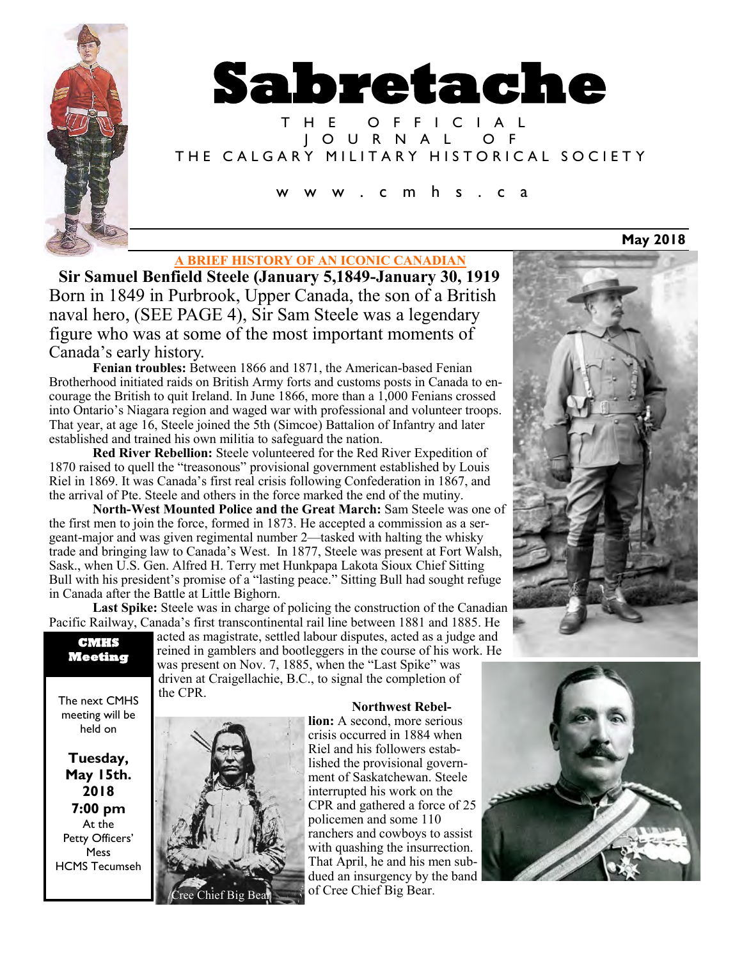

# **Sabretache**

T H E O F F I C I A L J O U R N A L O F THE CALGARY MILITARY HISTORICAL SOCIETY

c m h s . c a

## **A BRIEF HISTORY OF AN ICONIC CANADIAN**

**Sir Samuel Benfield Steele (January 5,1849-January 30, 1919** Born in 1849 in Purbrook, Upper Canada, the son of a British naval hero, (SEE PAGE 4), Sir Sam Steele was a legendary figure who was at some of the most important moments of Canada's early history.

**Fenian troubles:** Between 1866 and 1871, the American-based Fenian Brotherhood initiated raids on British Army forts and customs posts in Canada to encourage the British to quit Ireland. In June 1866, more than a 1,000 Fenians crossed into Ontario's Niagara region and waged war with professional and volunteer troops. That year, at age 16, Steele joined the 5th (Simcoe) Battalion of Infantry and later established and trained his own militia to safeguard the nation.

**Red River Rebellion:** Steele volunteered for the Red River Expedition of 1870 raised to quell the "treasonous" provisional government established by Louis Riel in 1869. It was Canada's first real crisis following Confederation in 1867, and the arrival of Pte. Steele and others in the force marked the end of the mutiny.

**North-West Mounted Police and the Great March:** Sam Steele was one of the first men to join the force, formed in 1873. He accepted a commission as a sergeant-major and was given regimental number 2—tasked with halting the whisky trade and bringing law to Canada's West. In 1877, Steele was present at Fort Walsh, Sask., when U.S. Gen. Alfred H. Terry met Hunkpapa Lakota Sioux Chief Sitting Bull with his president's promise of a "lasting peace." Sitting Bull had sought refuge in Canada after the Battle at Little Bighorn.

**Last Spike:** Steele was in charge of policing the construction of the Canadian Pacific Railway, Canada's first transcontinental rail line between 1881 and 1885. He

The next CMHS meeting will be held on

**Tuesday, May 15th. 2018 7:00 pm** At the Petty Officers' Mess HCMS Tecumseh acted as magistrate, settled labour disputes, acted as a judge and reined in gamblers and bootleggers in the course of his work. He was present on Nov. 7, 1885, when the "Last Spike" was driven at Craigellachie, B.C., to signal the completion of the CPR.

**Northwest Rebel-**



**lion:** A second, more serious crisis occurred in 1884 when Riel and his followers established the provisional government of Saskatchewan. Steele interrupted his work on the CPR and gathered a force of 25 policemen and some 110 ranchers and cowboys to assist with quashing the insurrection. That April, he and his men subdued an insurgency by the band of Cree Chief Big Bear.



**May 2018**

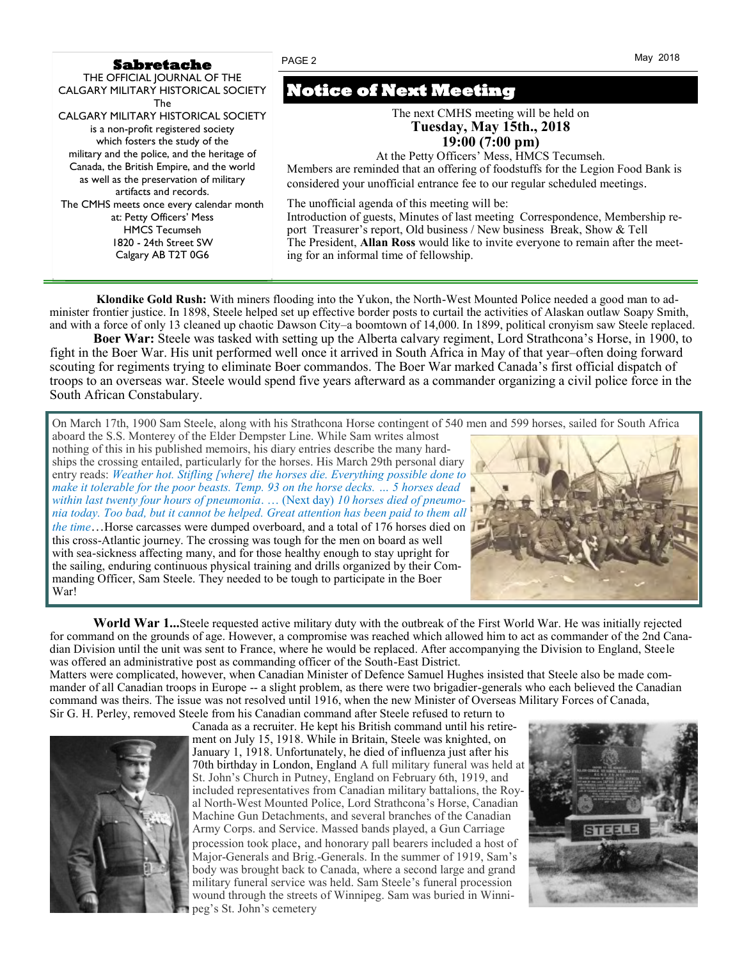#### **Sabretache**

PAGE 2 May 2018

| THE OFFICIAL JOURNAL OF THE<br>CALGARY MILITARY HISTORICAL SOCIETY                                                                                                                                                                                                                          | <b>Notice of Next Meeting</b>                                                                                                                                                                                                                                                                                                               |
|---------------------------------------------------------------------------------------------------------------------------------------------------------------------------------------------------------------------------------------------------------------------------------------------|---------------------------------------------------------------------------------------------------------------------------------------------------------------------------------------------------------------------------------------------------------------------------------------------------------------------------------------------|
| The<br><b>CALGARY MILITARY HISTORICAL SOCIETY</b><br>is a non-profit registered society<br>which fosters the study of the<br>military and the police, and the heritage of<br>Canada, the British Empire, and the world<br>as well as the preservation of military<br>artifacts and records. | The next CMHS meeting will be held on<br><b>Tuesday, May 15th., 2018</b><br>$19:00(7:00 \text{ pm})$<br>At the Petty Officers' Mess, HMCS Tecumseh.<br>Members are reminded that an offering of foodstuffs for the Legion Food Bank is<br>considered your unofficial entrance fee to our regular scheduled meetings.                        |
| The CMHS meets once every calendar month<br>at: Petty Officers' Mess<br><b>HMCS Tecumseh</b><br>1820 - 24th Street SW<br>Calgary AB T2T 0G6                                                                                                                                                 | The unofficial agenda of this meeting will be:<br>Introduction of guests, Minutes of last meeting Correspondence, Membership re-<br>port Treasurer's report, Old business / New business Break, Show & Tell<br>The President, Allan Ross would like to invite everyone to remain after the meet-<br>ing for an informal time of fellowship. |

**Klondike Gold Rush:** With miners flooding into the Yukon, the North-West Mounted Police needed a good man to administer frontier justice. In 1898, Steele helped set up effective border posts to curtail the activities of Alaskan outlaw Soapy Smith, and with a force of only 13 cleaned up chaotic Dawson City–a boomtown of 14,000. In 1899, political cronyism saw Steele replaced.

**Boer War:** Steele was tasked with setting up the Alberta calvary regiment, Lord Strathcona's Horse, in 1900, to fight in the Boer War. His unit performed well once it arrived in South Africa in May of that year–often doing forward scouting for regiments trying to eliminate Boer commandos. The Boer War marked Canada's first official dispatch of troops to an overseas war. Steele would spend five years afterward as a commander organizing a civil police force in the South African Constabulary.

On March 17th, 1900 Sam Steele, along with his Strathcona Horse contingent of 540 men and 599 horses, sailed for South Africa

aboard the S.S. Monterey of the Elder Dempster Line. While Sam writes almost nothing of this in his published memoirs, his diary entries describe the many hardships the crossing entailed, particularly for the horses. His March 29th personal diary entry reads: *Weather hot. Stifling [where] the horses die. Everything possible done to make it tolerable for the poor beasts. Temp. 93 on the horse decks. … 5 horses dead within last twenty four hours of pneumonia*. … (Next day) *10 horses died of pneumonia today. Too bad, but it cannot be helped. Great attention has been paid to them all the time*…Horse carcasses were dumped overboard, and a total of 176 horses died on this cross-Atlantic journey. The crossing was tough for the men on board as well with sea-sickness affecting many, and for those healthy enough to stay upright for the sailing, enduring continuous physical training and drills organized by their Commanding Officer, Sam Steele. They needed to be tough to participate in the Boer War!



**World War 1...**Steele requested active military duty with the outbreak of the First World War. He was initially rejected for command on the grounds of age. However, a compromise was reached which allowed him to act as commander of the 2nd Canadian Division until the unit was sent to France, where he would be replaced. After accompanying the Division to England, Steele was offered an administrative post as commanding officer of the South-East District.

Matters were complicated, however, when Canadian Minister of Defence Samuel Hughes insisted that Steele also be made commander of all Canadian troops in Europe -- a slight problem, as there were two brigadier-generals who each believed the Canadian command was theirs. The issue was not resolved until 1916, when the new Minister of Overseas Military Forces of Canada, Sir G. H. Perley, removed Steele from his Canadian command after Steele refused to return to



Canada as a recruiter. He kept his British command until his retirement on July 15, 1918. While in Britain, Steele was knighted, on January 1, 1918. Unfortunately, he died of influenza just after his 70th birthday in London, England A full military funeral was held at St. John's Church in Putney, England on February 6th, 1919, and included representatives from Canadian military battalions, the Royal North-West Mounted Police, Lord Strathcona's Horse, Canadian Machine Gun Detachments, and several branches of the Canadian Army Corps. and Service. Massed bands played, a Gun Carriage procession took place, and honorary pall bearers included a host of Major-Generals and Brig.-Generals. In the summer of 1919, Sam's body was brought back to Canada, where a second large and grand military funeral service was held. Sam Steele's funeral procession wound through the streets of Winnipeg. Sam was buried in Winnipeg's St. John's cemetery

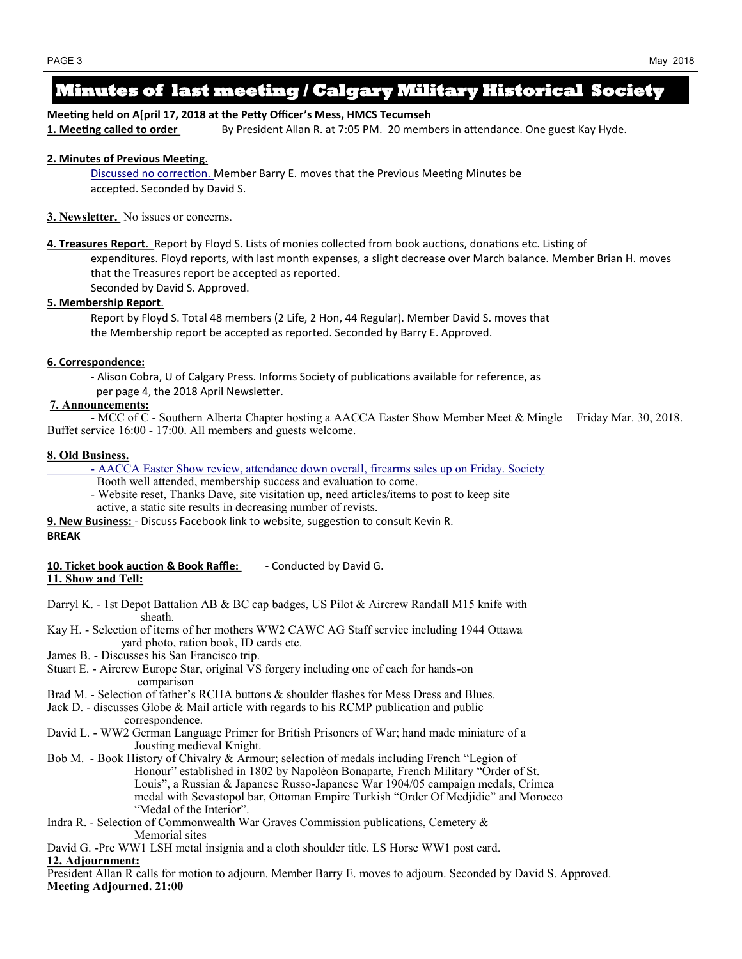# **Minutes of last meeting / Calgary Military Historical Society**

**Meeting held on A[pril 17, 2018 at the Petty Officer's Mess, HMCS Tecumseh 1. Meeting called to order** By President Allan R. at 7:05 PM. 20 members in attendance. One guest Kay Hyde.

#### **2. Minutes of Previous Meeting**.

Discussed no correction. Member Barry E. moves that the Previous Meeting Minutes be accepted. Seconded by David S.

#### **3. Newsletter.** No issues or concerns.

**4. Treasures Report***.* Report by Floyd S. Lists of monies collected from book auctions, donations etc. Listing of expenditures. Floyd reports, with last month expenses, a slight decrease over March balance. Member Brian H. moves that the Treasures report be accepted as reported.

Seconded by David S. Approved.

#### **5. Membership Report**.

Report by Floyd S. Total 48 members (2 Life, 2 Hon, 44 Regular). Member David S. moves that the Membership report be accepted as reported. Seconded by Barry E. Approved.

#### **6. Correspondence:**

- Alison Cobra, U of Calgary Press. Informs Society of publications available for reference, as per page 4, the 2018 April Newsletter.

#### **7. Announcements:**

- MCC of C - Southern Alberta Chapter hosting a AACCA Easter Show Member Meet & Mingle Friday Mar. 30, 2018. Buffet service 16:00 - 17:00. All members and guests welcome.

#### **8. Old Business.**

- AACCA Easter Show review, attendance down overall, firearms sales up on Friday. Society
	- Booth well attended, membership success and evaluation to come.
- Website reset, Thanks Dave, site visitation up, need articles/items to post to keep site active, a static site results in decreasing number of revists.
- **9. New Business:**  Discuss Facebook link to website, suggestion to consult Kevin R.

#### **BREAK**

10. Ticket book auction & Book Raffle: **-** Conducted by David G. **11. Show and Tell:**

- Darryl K. 1st Depot Battalion AB & BC cap badges, US Pilot & Aircrew Randall M15 knife with sheath.
- Kay H. Selection of items of her mothers WW2 CAWC AG Staff service including 1944 Ottawa yard photo, ration book, ID cards etc.
- James B. Discusses his San Francisco trip.
- Stuart E. Aircrew Europe Star, original VS forgery including one of each for hands-on comparison
- Brad M. Selection of father's RCHA buttons & shoulder flashes for Mess Dress and Blues.
- Jack D. discusses Globe & Mail article with regards to his RCMP publication and public correspondence.
- David L. WW2 German Language Primer for British Prisoners of War; hand made miniature of a Jousting medieval Knight.
- Bob M. Book History of Chivalry & Armour; selection of medals including French "Legion of Honour" established in 1802 by Napoléon Bonaparte, French Military "Order of St. Louis", a Russian & Japanese Russo-Japanese War 1904/05 campaign medals, Crimea medal with Sevastopol bar, Ottoman Empire Turkish "Order Of Medjidie" and Morocco "Medal of the Interior".
- Indra R. Selection of Commonwealth War Graves Commission publications, Cemetery & Memorial sites
- David G. -Pre WW1 LSH metal insignia and a cloth shoulder title. LS Horse WW1 post card. **12. Adjournment:**

President Allan R calls for motion to adjourn. Member Barry E. moves to adjourn. Seconded by David S. Approved. **Meeting Adjourned. 21:00**